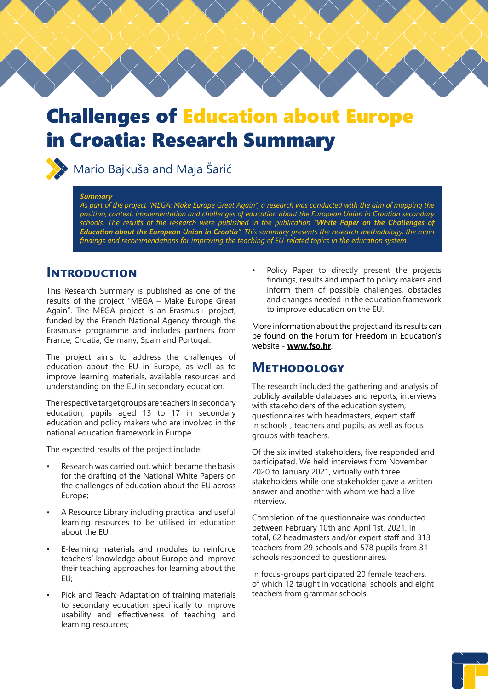

# Challenges of Education about Europe in Croatia: Research Summary



## **XX** Mario Bajkuša and Maja Šarić

#### *Summary*

*As part of the project "MEGA: Make Europe Great Again", a research was conducted with the aim of mapping the position, context, implementation and challenges of education about the European Union in Croatian secondary schools. The results of the research were published in the publication "White Paper on the Challenges of Education about the European Union in Croatia". This summary presents the research methodology, the main findings and recommendations for improving the teaching of EU-related topics in the education system.*

#### **Introduction**

This Research Summary is published as one of the results of the project "MEGA – Make Europe Great Again". The MEGA project is an Erasmus+ project, funded by the French National Agency through the Erasmus+ programme and includes partners from France, Croatia, Germany, Spain and Portugal.

The project aims to address the challenges of education about the EU in Europe, as well as to improve learning materials, available resources and understanding on the EU in secondary education.

The respective target groups are teachers in secondary education, pupils aged 13 to 17 in secondary education and policy makers who are involved in the national education framework in Europe.

The expected results of the project include:

- Research was carried out, which became the basis for the drafting of the National White Papers on the challenges of education about the EU across Europe;
- A Resource Library including practical and useful learning resources to be utilised in education about the EU;
- E-learning materials and modules to reinforce teachers' knowledge about Europe and improve their teaching approaches for learning about the EU;
- Pick and Teach: Adaptation of training materials to secondary education specifically to improve usability and effectiveness of teaching and learning resources;

Policy Paper to directly present the projects findings, results and impact to policy makers and inform them of possible challenges, obstacles and changes needed in the education framework to improve education on the EU.

More information about the project and its results can be found on the Forum for Freedom in Education's website - **[www.fso.hr](http://www.fso.hr)**.

#### **Methodology**

The research included the gathering and analysis of publicly available databases and reports, interviews with stakeholders of the education system, questionnaires with headmasters, expert staff in schools , teachers and pupils, as well as focus groups with teachers.

Of the six invited stakeholders, five responded and participated. We held interviews from November 2020 to January 2021, virtually with three stakeholders while one stakeholder gave a written answer and another with whom we had a live interview.

Completion of the questionnaire was conducted between February 10th and April 1st, 2021. In total, 62 headmasters and/or expert staff and 313 teachers from 29 schools and 578 pupils from 31 schools responded to questionnaires.

In focus-groups participated 20 female teachers, of which 12 taught in vocational schools and eight teachers from grammar schools.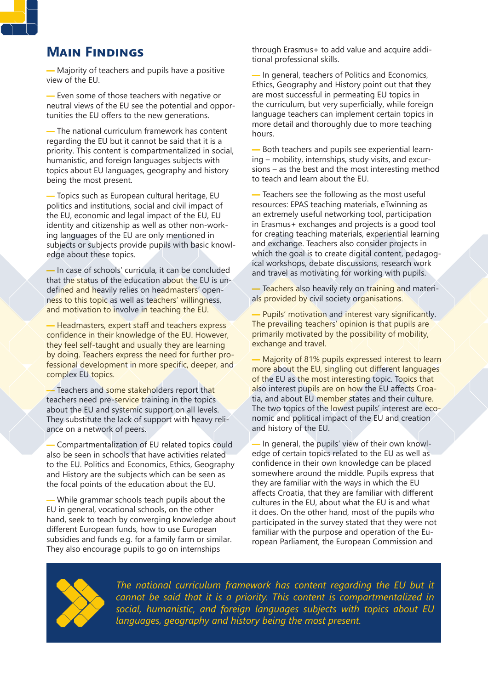## **Main Findings**

— Majority of teachers and pupils have a positive view of the EU.

— Even some of those teachers with negative or neutral views of the EU see the potential and opportunities the EU offers to the new generations.

— The national curriculum framework has content regarding the EU but it cannot be said that it is a priority. This content is compartmentalized in social, humanistic, and foreign languages subjects with topics about EU languages, geography and history being the most present.

— Topics such as European cultural heritage, EU politics and institutions, social and civil impact of the EU, economic and legal impact of the EU, EU identity and citizenship as well as other non-working languages of the EU are only mentioned in subjects or subjects provide pupils with basic knowledge about these topics.

— In case of schools' curricula, it can be concluded that the status of the education about the EU is undefined and heavily relies on headmasters' openness to this topic as well as teachers' willingness, and motivation to involve in teaching the EU.

— Headmasters, expert staff and teachers express confidence in their knowledge of the EU. However, they feel self-taught and usually they are learning by doing. Teachers express the need for further professional development in more specific, deeper, and complex EU topics.

— Teachers and some stakeholders report that teachers need pre-service training in the topics about the EU and systemic support on all levels. They substitute the lack of support with heavy reliance on a network of peers.

— Compartmentalization of EU related topics could also be seen in schools that have activities related to the EU. Politics and Economics, Ethics, Geography and History are the subjects which can be seen as the focal points of the education about the EU.

— While grammar schools teach pupils about the EU in general, vocational schools, on the other hand, seek to teach by converging knowledge about different European funds, how to use European subsidies and funds e.g. for a family farm or similar. They also encourage pupils to go on internships

through Erasmus+ to add value and acquire additional professional skills.

— In general, teachers of Politics and Economics, Ethics, Geography and History point out that they are most successful in permeating EU topics in the curriculum, but very superficially, while foreign language teachers can implement certain topics in more detail and thoroughly due to more teaching hours.

— Both teachers and pupils see experiential learning – mobility, internships, study visits, and excursions – as the best and the most interesting method to teach and learn about the EU.

— Teachers see the following as the most useful resources: EPAS teaching materials, eTwinning as an extremely useful networking tool, participation in Erasmus+ exchanges and projects is a good tool for creating teaching materials, experiential learning and exchange. Teachers also consider projects in which the goal is to create digital content, pedagogical workshops, debate discussions, research work and travel as motivating for working with pupils.

— Teachers also heavily rely on training and materials provided by civil society organisations.

Pupils' motivation and interest vary significantly. The prevailing teachers' opinion is that pupils are primarily motivated by the possibility of mobility, exchange and travel.

— Majority of 81% pupils expressed interest to learn more about the EU, singling out different languages of the EU as the most interesting topic. Topics that also interest pupils are on how the EU affects Croatia, and about EU member states and their culture. The two topics of the lowest pupils' interest are economic and political impact of the EU and creation and history of the EU.

— In general, the pupils' view of their own knowledge of certain topics related to the EU as well as confidence in their own knowledge can be placed somewhere around the middle. Pupils express that they are familiar with the ways in which the EU affects Croatia, that they are familiar with different cultures in the EU, about what the EU is and what it does. On the other hand, most of the pupils who participated in the survey stated that they were not familiar with the purpose and operation of the European Parliament, the European Commission and



The national curriculum framework has content regarding the EU but it *cannot be said that it is a priority. This content is compartmentalized in social, humanistic, and foreign languages subjects with topics about EU languages, geography and history being the most present.*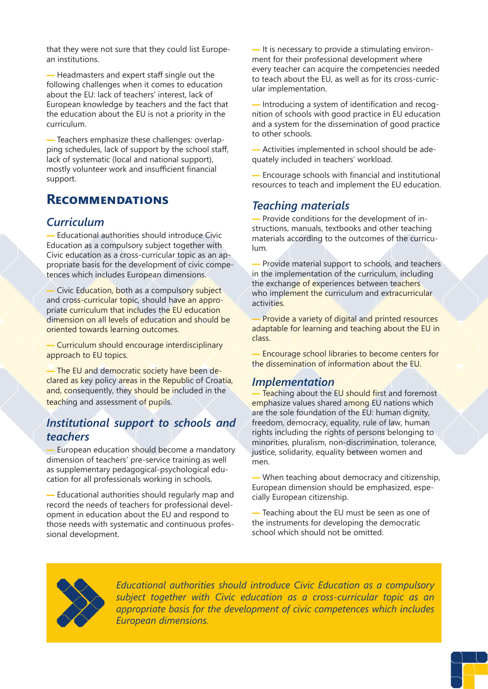that they were not sure that they could list European institutions.

— Headmasters and expert staff single out the following challenges when it comes to education about the EU: lack of teachers' interest, lack of European knowledge by teachers and the fact that the education about the EU is not a priority in the curriculum.

— Teachers emphasize these challenges: overlapping schedules, lack of support by the school staff, lack of systematic (local and national support), mostly volunteer work and insufficient financial support.

## **Recommendations**

#### *Curriculum*

— Educational authorities should introduce Civic Education as a compulsory subject together with Civic education as a cross-curricular topic as an appropriate basis for the development of civic competences which includes European dimensions.

— Civic Education, both as a compulsory subject and cross-curricular topic, should have an appropriate curriculum that includes the EU education dimension on all levels of education and should be oriented towards learning outcomes.

— Curriculum should encourage interdisciplinary approach to EU topics.

— The EU and democratic society have been declared as key policy areas in the Republic of Croatia, and, consequently, they should be included in the teaching and assessment of pupils.

#### *Institutional support to schools and teachers*

— European education should become a mandatory dimension of teachers' pre-service training as well as supplementary pedagogical-psychological education for all professionals working in schools.

— Educational authorities should regularly map and record the needs of teachers for professional development in education about the EU and respond to those needs with systematic and continuous professional development.

— It is necessary to provide a stimulating environment for their professional development where every teacher can acquire the competencies needed to teach about the EU, as well as for its cross-curricular implementation.

— Introducing a system of identification and recognition of schools with good practice in EU education and a system for the dissemination of good practice to other schools.

— Activities implemented in school should be adequately included in teachers' workload.

— Encourage schools with financial and institutional resources to teach and implement the EU education.

#### *Teaching materials*

— Provide conditions for the development of instructions, manuals, textbooks and other teaching materials according to the outcomes of the curriculum.

Provide material support to schools, and teachers in the implementation of the curriculum, including the exchange of experiences between teachers who implement the curriculum and extracurricular activities.

Provide a variety of digital and printed resources adaptable for learning and teaching about the EU in class.

— Encourage school libraries to become centers for the dissemination of information about the EU.

#### *Implementation*

Teaching about the EU should first and foremost emphasize values shared among EU nations which are the sole foundation of the EU: human dignity, freedom, democracy, equality, rule of law, human rights including the rights of persons belonging to minorities, pluralism, non-discrimination, tolerance, justice, solidarity, equality between women and men.

— When teaching about democracy and citizenship, European dimension should be emphasized, especially European citizenship.

— Teaching about the EU must be seen as one of the instruments for developing the democratic school which should not be omitted.



*Educational authorities should introduce Civic Education as a compulsory subject together with Civic education as a cross-curricular topic as an appropriate basis for the development of civic competences which includes European dimensions.*